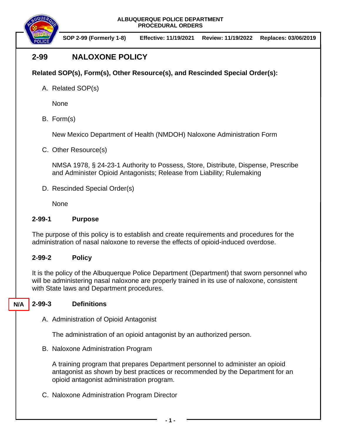**ALBUQUERQUE POLICE DEPARTMENT PROCEDURAL ORDERS**



**SOP 2-99 (Formerly 1-8) Effective: 11/19/2021 Review: 11/19/2022 Replaces: 03/06/2019**

# **2-99 NALOXONE POLICY**

## **Related SOP(s), Form(s), Other Resource(s), and Rescinded Special Order(s):**

A. Related SOP(s)

None

B. Form(s)

New Mexico Department of Health (NMDOH) Naloxone Administration Form

C. Other Resource(s)

NMSA 1978, § 24-23-1 Authority to Possess, Store, Distribute, Dispense, Prescribe and Administer Opioid Antagonists; Release from Liability; Rulemaking

D. Rescinded Special Order(s)

**None** 

## **2-99-1 Purpose**

The purpose of this policy is to establish and create requirements and procedures for the administration of nasal naloxone to reverse the effects of opioid-induced overdose.

## **2-99-2 Policy**

It is the policy of the Albuquerque Police Department (Department) that sworn personnel who will be administering nasal naloxone are properly trained in its use of naloxone, consistent with State laws and Department procedures.

#### **2-99-3 Definitions N/A**

A. Administration of Opioid Antagonist

The administration of an opioid antagonist by an authorized person.

B. Naloxone Administration Program

A training program that prepares Department personnel to administer an opioid antagonist as shown by best practices or recommended by the Department for an opioid antagonist administration program.

C. Naloxone Administration Program Director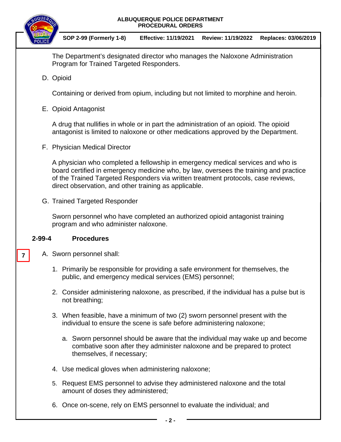



**SOP 2-99 (Formerly 1-8) Effective: 11/19/2021 Review: 11/19/2022 Replaces: 03/06/2019**

The Department's designated director who manages the Naloxone Administration Program for Trained Targeted Responders.

D. Opioid

Containing or derived from opium, including but not limited to morphine and heroin.

E. Opioid Antagonist

A drug that nullifies in whole or in part the administration of an opioid. The opioid antagonist is limited to naloxone or other medications approved by the Department.

F. Physician Medical Director

A physician who completed a fellowship in emergency medical services and who is board certified in emergency medicine who, by law, oversees the training and practice of the Trained Targeted Responders via written treatment protocols, case reviews, direct observation, and other training as applicable.

G. Trained Targeted Responder

Sworn personnel who have completed an authorized opioid antagonist training program and who administer naloxone.

### **2-99-4 Procedures**

**7**

- A. Sworn personnel shall:
	- 1. Primarily be responsible for providing a safe environment for themselves, the public, and emergency medical services (EMS) personnel;
	- 2. Consider administering naloxone, as prescribed, if the individual has a pulse but is not breathing;
	- 3. When feasible, have a minimum of two (2) sworn personnel present with the individual to ensure the scene is safe before administering naloxone;
		- a. Sworn personnel should be aware that the individual may wake up and become combative soon after they administer naloxone and be prepared to protect themselves, if necessary;
	- 4. Use medical gloves when administering naloxone;
	- 5. Request EMS personnel to advise they administered naloxone and the total amount of doses they administered;
	- 6. Once on-scene, rely on EMS personnel to evaluate the individual; and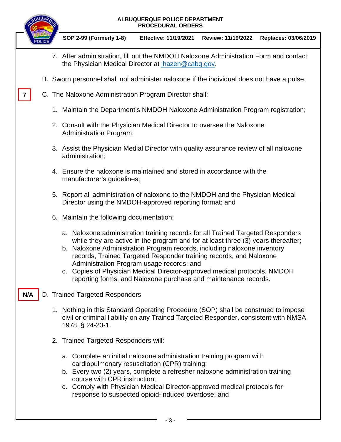### **ALBUQUERQUE POLICE DEPARTMENT PROCEDURAL ORDERS**



**N/A**

**SOP 2-99 (Formerly 1-8) Effective: 11/19/2021 Review: 11/19/2022 Replaces: 03/06/2019**

- 7. After administration, fill out the NMDOH Naloxone Administration Form and contact the Physician Medical Director at [jhazen@cabq.gov.](mailto:jhazen@cabq.gov)
- B. Sworn personnel shall not administer naloxone if the individual does not have a pulse.
- C. The Naloxone Administration Program Director shall: **7**
	- 1. Maintain the Department's NMDOH Naloxone Administration Program registration;
	- 2. Consult with the Physician Medical Director to oversee the Naloxone Administration Program;
	- 3. Assist the Physician Medial Director with quality assurance review of all naloxone administration;
	- 4. Ensure the naloxone is maintained and stored in accordance with the manufacturer's guidelines;
	- 5. Report all administration of naloxone to the NMDOH and the Physician Medical Director using the NMDOH-approved reporting format; and
	- 6. Maintain the following documentation:
		- a. Naloxone administration training records for all Trained Targeted Responders while they are active in the program and for at least three (3) years thereafter;
		- b. Naloxone Administration Program records, including naloxone inventory records, Trained Targeted Responder training records, and Naloxone Administration Program usage records; and
		- c. Copies of Physician Medical Director-approved medical protocols, NMDOH reporting forms, and Naloxone purchase and maintenance records.
	- D. Trained Targeted Responders
		- 1. Nothing in this Standard Operating Procedure (SOP) shall be construed to impose civil or criminal liability on any Trained Targeted Responder, consistent with NMSA 1978, § 24-23-1.
		- 2. Trained Targeted Responders will:
			- a. Complete an initial naloxone administration training program with cardiopulmonary resuscitation (CPR) training;
			- b. Every two (2) years, complete a refresher naloxone administration training course with CPR instruction;
			- c. Comply with Physician Medical Director-approved medical protocols for response to suspected opioid-induced overdose; and